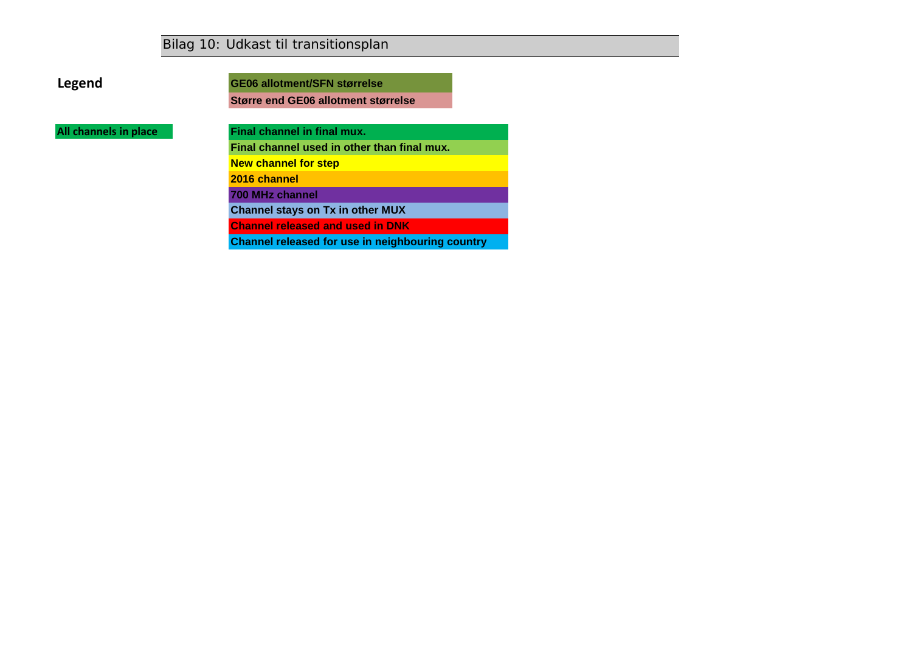*Bilag 10: Udkast til transitionsplan*

**Legend**

**GE06 allotment/SFN størrelse**

**Større end GE06 allotment størrelse**

**All channels in place**

**Final channel in final mux.**

**Final channel used in other than final mux. New channel for step**

**2016 channel**

**700 MHz channel**

**Channel stays on Tx in other MUX**

**Channel released and used in DNK**

**Channel released for use in neighbouring country**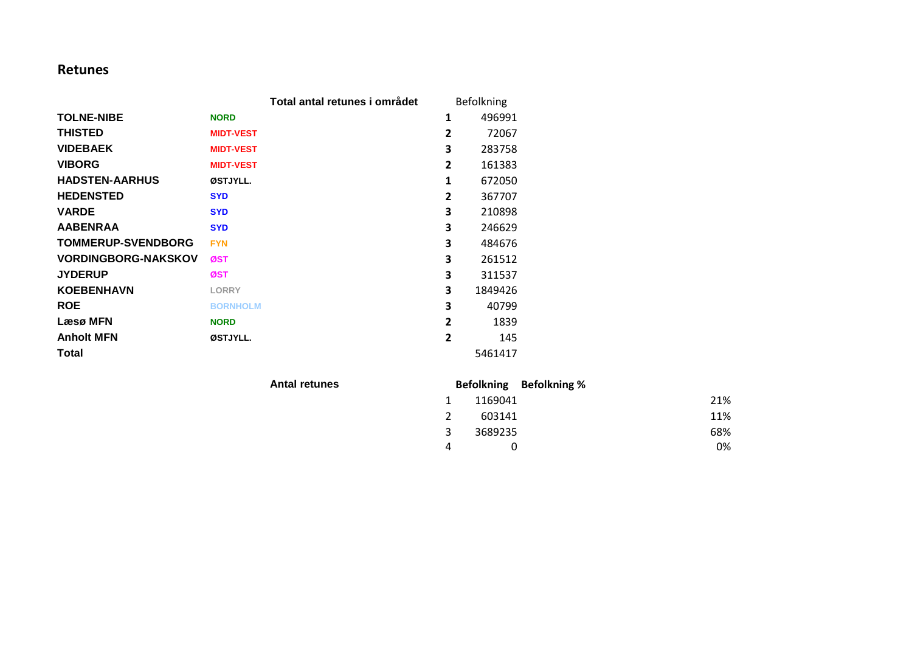### **Retunes**

|                            |                  | Total antal retunes i området |                | Befolkning |
|----------------------------|------------------|-------------------------------|----------------|------------|
| <b>TOLNE-NIBE</b>          | <b>NORD</b>      |                               | 1              | 496991     |
| <b>THISTED</b>             | <b>MIDT-VEST</b> |                               | 2              | 72067      |
| <b>VIDEBAEK</b>            | <b>MIDT-VEST</b> |                               | 3              | 283758     |
| <b>VIBORG</b>              | <b>MIDT-VEST</b> |                               | $\overline{2}$ | 161383     |
| <b>HADSTEN-AARHUS</b>      | ØSTJYLL.         |                               | 1              | 672050     |
| <b>HEDENSTED</b>           | <b>SYD</b>       |                               | $\overline{2}$ | 367707     |
| <b>VARDE</b>               | <b>SYD</b>       |                               | 3              | 210898     |
| <b>AABENRAA</b>            | <b>SYD</b>       |                               | 3              | 246629     |
| <b>TOMMERUP-SVENDBORG</b>  | <b>FYN</b>       |                               | 3              | 484676     |
| <b>VORDINGBORG-NAKSKOV</b> | ØST              |                               | 3              | 261512     |
| <b>JYDERUP</b>             | ØST              |                               | 3              | 311537     |
| <b>KOEBENHAVN</b>          | <b>LORRY</b>     |                               | 3              | 1849426    |
| <b>ROE</b>                 | <b>BORNHOLM</b>  |                               | 3              | 40799      |
| Læsø MFN                   | <b>NORD</b>      |                               | $\overline{2}$ | 1839       |
| <b>Anholt MFN</b>          | ØSTJYLL.         |                               | $\overline{2}$ | 145        |
| Total                      |                  |                               |                | 5461417    |

 $Antal$  retunes

|               |         | Befolkning Befolkning % |
|---------------|---------|-------------------------|
| 1             | 1169041 | 21%                     |
| $\mathcal{L}$ | 603141  | 11%                     |
| 3             | 3689235 | 68%                     |
| 4             |         | 0%                      |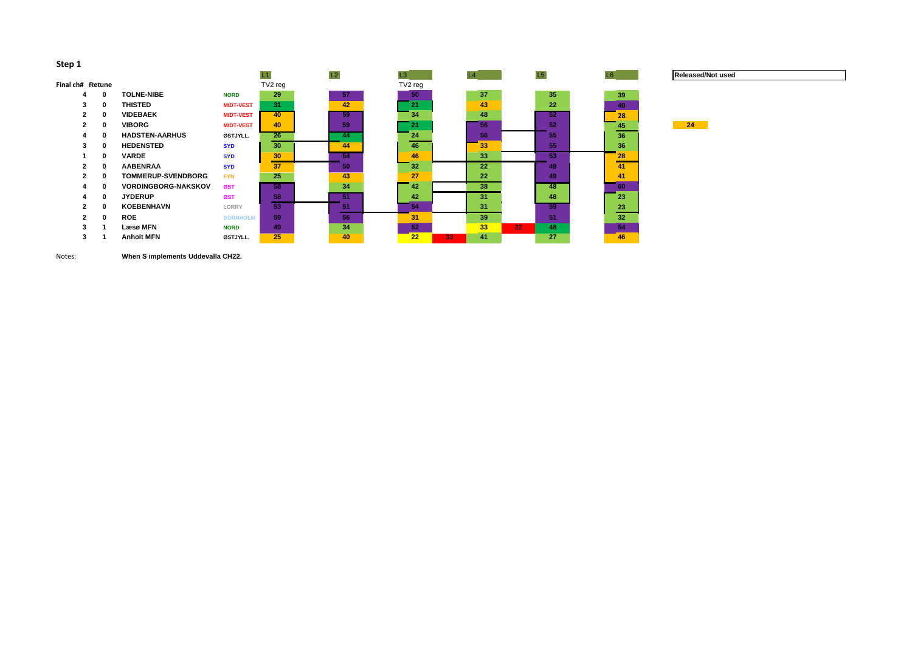| TV2 reg<br>TV2 reg<br>Final ch# Retune<br>35<br>37<br>29<br>57<br><b>TOLNE-NIBE</b><br>50<br>39<br>0<br><b>NORD</b><br>4<br>42<br>43<br>22<br>31<br><b>THISTED</b><br>21<br>3<br>$\mathbf 0$<br>49<br><b>MIDT-VEST</b><br>48<br>59<br>52<br><b>VIDEBAEK</b><br>40<br>34<br>$\mathbf 0$<br>$\mathbf{2}$<br><b>MIDT-VEST</b><br>28<br>52<br>59<br>56<br><b>VIBORG</b><br>21<br>40<br>$\mathbf 0$<br>$\mathbf{2}$<br>45<br><b>MIDT-VEST</b><br>56<br><b>HADSTEN-AARHUS</b><br>26<br>24<br>55<br>36<br>$\bf{0}$<br>44<br>ØSTJYLL.<br>Д<br>55<br><b>HEDENSTED</b><br>30 <sub>2</sub><br>36<br>44<br>46<br>33<br>$\mathbf 0$<br>3<br><b>SYD</b><br>33<br>53<br>30<br>54<br><b>VARDE</b><br>46<br>$\mathbf 0$<br>28<br><b>SYD</b><br><b>AABENRAA</b><br>37<br>32<br>50<br>22<br>41<br>$\mathbf 0$<br>49<br>$\mathbf{2}$<br><b>SYD</b><br>43<br>25<br>27<br><b>TOMMERUP-SVENDBORG</b><br>22<br>49<br>41<br>$\bf{0}$<br>$\mathbf{2}$<br><b>FYN</b><br>34<br>38<br>42<br>48<br><b>VORDINGBORG-NAKSKOV</b><br>58<br>0<br>60<br>ØST<br>51<br>48<br><b>JYDERUP</b><br>58<br>42<br>31<br>$\mathbf 0$<br>23<br>ØST<br>4<br>59<br>53<br>23<br><b>KOEBENHAVN</b><br>51<br>31<br>54<br>$\mathbf{2}$<br>$\mathbf{0}$<br>LORRY<br>59<br>51<br><b>ROE</b><br>56<br>39<br>32<br>31<br>$\bf{0}$<br>$\mathbf{2}$<br><b>BORNHOLM</b><br>34<br>52<br>33<br>22 <sub>2</sub><br>48<br>54<br>Læsø MFN<br>49<br><b>NORD</b><br>3 |  |                   |          | L1 | L2 | L3 | L4       | L5 | L <sub>6</sub> | Relea |
|----------------------------------------------------------------------------------------------------------------------------------------------------------------------------------------------------------------------------------------------------------------------------------------------------------------------------------------------------------------------------------------------------------------------------------------------------------------------------------------------------------------------------------------------------------------------------------------------------------------------------------------------------------------------------------------------------------------------------------------------------------------------------------------------------------------------------------------------------------------------------------------------------------------------------------------------------------------------------------------------------------------------------------------------------------------------------------------------------------------------------------------------------------------------------------------------------------------------------------------------------------------------------------------------------------------------------------------------------------------------------------------------------|--|-------------------|----------|----|----|----|----------|----|----------------|-------|
|                                                                                                                                                                                                                                                                                                                                                                                                                                                                                                                                                                                                                                                                                                                                                                                                                                                                                                                                                                                                                                                                                                                                                                                                                                                                                                                                                                                                    |  |                   |          |    |    |    |          |    |                |       |
|                                                                                                                                                                                                                                                                                                                                                                                                                                                                                                                                                                                                                                                                                                                                                                                                                                                                                                                                                                                                                                                                                                                                                                                                                                                                                                                                                                                                    |  |                   |          |    |    |    |          |    |                |       |
|                                                                                                                                                                                                                                                                                                                                                                                                                                                                                                                                                                                                                                                                                                                                                                                                                                                                                                                                                                                                                                                                                                                                                                                                                                                                                                                                                                                                    |  |                   |          |    |    |    |          |    |                |       |
|                                                                                                                                                                                                                                                                                                                                                                                                                                                                                                                                                                                                                                                                                                                                                                                                                                                                                                                                                                                                                                                                                                                                                                                                                                                                                                                                                                                                    |  |                   |          |    |    |    |          |    |                |       |
|                                                                                                                                                                                                                                                                                                                                                                                                                                                                                                                                                                                                                                                                                                                                                                                                                                                                                                                                                                                                                                                                                                                                                                                                                                                                                                                                                                                                    |  |                   |          |    |    |    |          |    |                | 24    |
|                                                                                                                                                                                                                                                                                                                                                                                                                                                                                                                                                                                                                                                                                                                                                                                                                                                                                                                                                                                                                                                                                                                                                                                                                                                                                                                                                                                                    |  |                   |          |    |    |    |          |    |                |       |
|                                                                                                                                                                                                                                                                                                                                                                                                                                                                                                                                                                                                                                                                                                                                                                                                                                                                                                                                                                                                                                                                                                                                                                                                                                                                                                                                                                                                    |  |                   |          |    |    |    |          |    |                |       |
|                                                                                                                                                                                                                                                                                                                                                                                                                                                                                                                                                                                                                                                                                                                                                                                                                                                                                                                                                                                                                                                                                                                                                                                                                                                                                                                                                                                                    |  |                   |          |    |    |    |          |    |                |       |
|                                                                                                                                                                                                                                                                                                                                                                                                                                                                                                                                                                                                                                                                                                                                                                                                                                                                                                                                                                                                                                                                                                                                                                                                                                                                                                                                                                                                    |  |                   |          |    |    |    |          |    |                |       |
|                                                                                                                                                                                                                                                                                                                                                                                                                                                                                                                                                                                                                                                                                                                                                                                                                                                                                                                                                                                                                                                                                                                                                                                                                                                                                                                                                                                                    |  |                   |          |    |    |    |          |    |                |       |
|                                                                                                                                                                                                                                                                                                                                                                                                                                                                                                                                                                                                                                                                                                                                                                                                                                                                                                                                                                                                                                                                                                                                                                                                                                                                                                                                                                                                    |  |                   |          |    |    |    |          |    |                |       |
|                                                                                                                                                                                                                                                                                                                                                                                                                                                                                                                                                                                                                                                                                                                                                                                                                                                                                                                                                                                                                                                                                                                                                                                                                                                                                                                                                                                                    |  |                   |          |    |    |    |          |    |                |       |
|                                                                                                                                                                                                                                                                                                                                                                                                                                                                                                                                                                                                                                                                                                                                                                                                                                                                                                                                                                                                                                                                                                                                                                                                                                                                                                                                                                                                    |  |                   |          |    |    |    |          |    |                |       |
|                                                                                                                                                                                                                                                                                                                                                                                                                                                                                                                                                                                                                                                                                                                                                                                                                                                                                                                                                                                                                                                                                                                                                                                                                                                                                                                                                                                                    |  |                   |          |    |    |    |          |    |                |       |
|                                                                                                                                                                                                                                                                                                                                                                                                                                                                                                                                                                                                                                                                                                                                                                                                                                                                                                                                                                                                                                                                                                                                                                                                                                                                                                                                                                                                    |  |                   |          |    |    |    |          |    |                |       |
|                                                                                                                                                                                                                                                                                                                                                                                                                                                                                                                                                                                                                                                                                                                                                                                                                                                                                                                                                                                                                                                                                                                                                                                                                                                                                                                                                                                                    |  | <b>Anholt MFN</b> | ØSTJYLL. | 25 | 40 | 22 | 41<br>33 | 27 | 46             |       |

Notes: **When S implements Uddevalla CH22.**

| 39 |  |
|----|--|
| 49 |  |
| 28 |  |
| 45 |  |
| 36 |  |
| 36 |  |
| 28 |  |
| 41 |  |
| 41 |  |
| 60 |  |
| 23 |  |
| 23 |  |
| 32 |  |
| 54 |  |
| 46 |  |

 $\sim$ 

## **L6 Released/Not used**

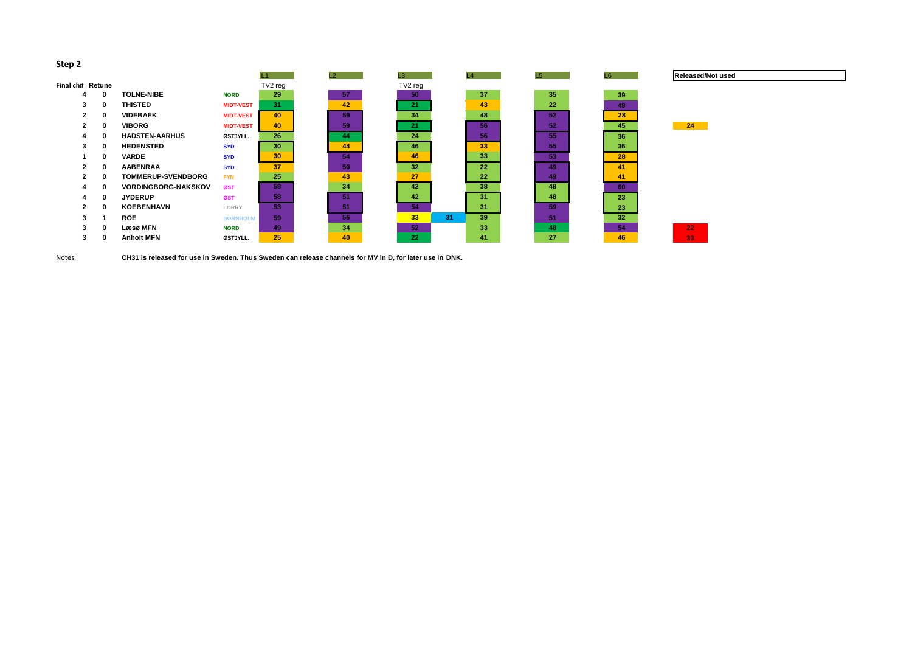|                  |                      |                            |                  | $\mathsf{L}1$ | L <sub>2</sub> | L3      | L4       | L5 | L6 |
|------------------|----------------------|----------------------------|------------------|---------------|----------------|---------|----------|----|----|
| Final ch# Retune |                      |                            |                  | TV2 reg       |                | TV2 reg |          |    |    |
| 4                | 0                    | <b>TOLNE-NIBE</b>          | <b>NORD</b>      | 29            | 57             | 50      | 37       | 35 |    |
| 3                | 0                    | <b>THISTED</b>             | <b>MIDT-VEST</b> | 31            | 42             | 21      | 43       | 22 |    |
| $\mathbf{2}$     | $\mathbf 0$          | <b>VIDEBAEK</b>            | <b>MIDT-VEST</b> | 40            | 59             | 34      | 48       | 52 |    |
| $\mathbf{2}$     | $\bf{0}$             | <b>VIBORG</b>              | <b>MIDT-VEST</b> | 40            | 59             | 21      | 56       | 52 |    |
| 4                | 0                    | <b>HADSTEN-AARHUS</b>      | ØSTJYLL.         | 26            | 44             | 24      | 56       | 55 |    |
| 3                | 0                    | <b>HEDENSTED</b>           | <b>SYD</b>       | 30            | 44             | 46      | 33       | 55 |    |
|                  | 0                    | <b>VARDE</b>               | <b>SYD</b>       | 30            | 54             | 46      | 33       | 53 |    |
| $\mathbf{2}$     | $\bf{0}$             | <b>AABENRAA</b>            | <b>SYD</b>       | 37            | 50             | 32      | 22       | 49 |    |
| $\mathbf{2}$     | $\mathbf 0$          | <b>TOMMERUP-SVENDBORG</b>  | <b>FYN</b>       | 25            | 43             | 27      | 22       | 49 |    |
| 4                | $\bf{0}$             | <b>VORDINGBORG-NAKSKOV</b> | ØST              | 58            | 34             | 42      | 38       | 48 |    |
| 4                | 0                    | <b>JYDERUP</b>             | ØST              | 58            | 51             | 42      | 31       | 48 |    |
| $\mathbf{2}$     | $\mathbf 0$          | <b>KOEBENHAVN</b>          | <b>LORRY</b>     | 53            | 51             | 54      | 31       | 59 |    |
| 3                | $\blacktriangleleft$ | <b>ROE</b>                 | <b>BORNHOLM</b>  | 59            | 56             | 33      | 39<br>31 | 51 |    |
| 3                | $\bf{0}$             | Læsø MFN                   | <b>NORD</b>      | 49            | 34             | 52      | 33       | 48 |    |
| 3                | 0                    | <b>Anholt MFN</b>          | ØSTJYLL.         | 25            | 40             | 22      | 41       | 27 |    |
|                  |                      |                            |                  |               |                |         |          |    |    |

Notes: **CH31 is released for use in Sweden. Thus Sweden can release channels for MV in D, for later use in DNK.**





# **Released/Not used**

| 39 |
|----|
| 49 |
| 28 |
| 45 |
| 36 |
| 36 |
| 28 |
| 41 |
| 41 |
| 60 |
| 23 |
| 23 |
| 32 |
| 54 |
| 46 |
|    |

T.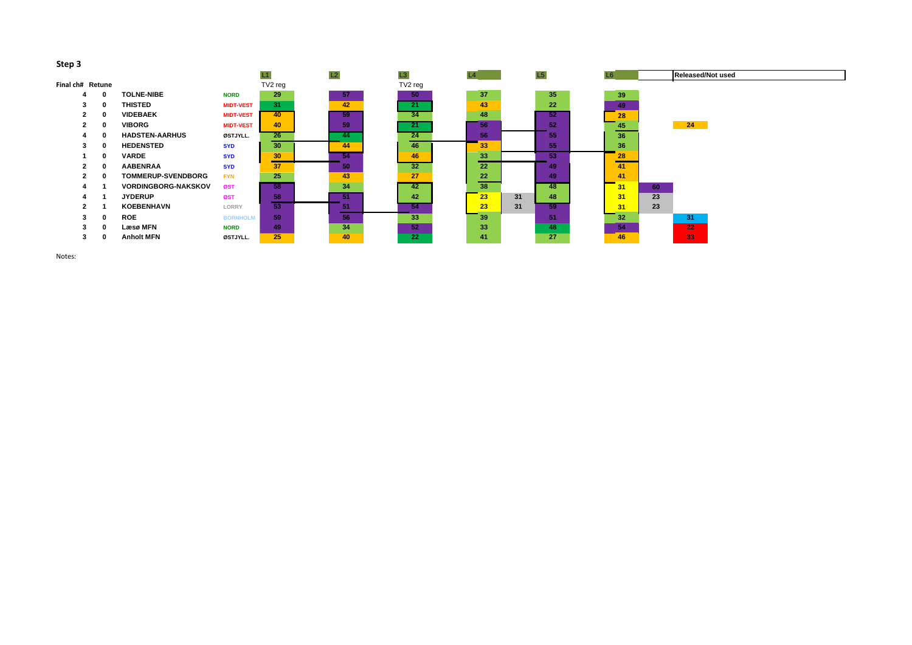| . .              |              |          |                            |                  |                 |    |    |         |    |    |    |                |    |                          |  |
|------------------|--------------|----------|----------------------------|------------------|-----------------|----|----|---------|----|----|----|----------------|----|--------------------------|--|
|                  |              |          |                            |                  | L1              | L2 | L3 |         | L4 |    | L5 | L <sub>6</sub> |    | <b>Released/Not used</b> |  |
| Final ch# Retune |              |          |                            |                  | TV2 reg         |    |    | TV2 reg |    |    |    |                |    |                          |  |
|                  | 4            |          | <b>TOLNE-NIBE</b>          | <b>NORD</b>      | 29              | 57 |    | 50      | 37 |    | 35 | 39             |    |                          |  |
|                  | 3            | 0        | <b>THISTED</b>             | <b>MIDT-VEST</b> | 31              | 42 |    | 21      | 43 |    | 22 | 49             |    |                          |  |
|                  | $\mathbf{2}$ | $\bf{0}$ | <b>VIDEBAEK</b>            | <b>MIDT-VEST</b> | 40 <sup>°</sup> | 59 |    | 34      | 48 |    | 52 | 28             |    |                          |  |
|                  | $\mathbf{2}$ | $\bf{0}$ | <b>VIBORG</b>              | <b>MIDT-VEST</b> | 40              | 59 |    | 21      | 56 |    | 52 | 45             |    | 24                       |  |
|                  |              | 0        | <b>HADSTEN-AARHUS</b>      | ØSTJYLL.         | 26              | 44 |    | 24      | 56 |    | 55 | 36             |    |                          |  |
|                  | 3.           | $\bf{0}$ | <b>HEDENSTED</b>           | <b>SYD</b>       | 30              | 44 |    | 46      | 33 |    | 55 | 36             |    |                          |  |
|                  |              | $\bf{0}$ | <b>VARDE</b>               | <b>SYD</b>       | 30              | 54 |    | 46      | 33 |    | 53 | 28             |    |                          |  |
|                  |              | 0        | <b>AABENRAA</b>            | <b>SYD</b>       | 37              | 50 |    | 32      | 22 |    | 49 | 41             |    |                          |  |
|                  |              | $\bf{0}$ | <b>TOMMERUP-SVENDBORG</b>  | <b>FYN</b>       | 25              | 43 |    | 27      | 22 |    | 49 | 41             |    |                          |  |
|                  |              |          | <b>VORDINGBORG-NAKSKOV</b> | ØST              | 58              | 34 |    | 42      | 38 |    | 48 | 31             | 60 |                          |  |
|                  |              |          | <b>JYDERUP</b>             | ØST              | 58              | 51 |    | 42      | 23 | 31 | 48 | 31             | 23 |                          |  |
|                  | 2            |          | <b>KOEBENHAVN</b>          | <b>LORRY</b>     | 53              | 51 |    | 54      | 23 | 31 | 59 | 31             | 23 |                          |  |
|                  | 3            | 0        | <b>ROE</b>                 | <b>BORNHOLM</b>  | 59              | 56 |    | 33      | 39 |    | 51 | 32             |    | 31                       |  |
|                  | 3            | 0        | Læsø MFN                   | <b>NORD</b>      | 49              | 34 |    | 52      | 33 |    | 48 | 54             |    | 22 <sub>2</sub>          |  |
|                  | 3            | 0        | <b>Anholt MFN</b>          | ØSTJYLL.         | 25              | 40 |    | 22      | 41 |    | 27 | 46             |    | $\overline{33}$          |  |
|                  |              |          |                            |                  |                 |    |    |         |    |    |    |                |    |                          |  |

Notes:

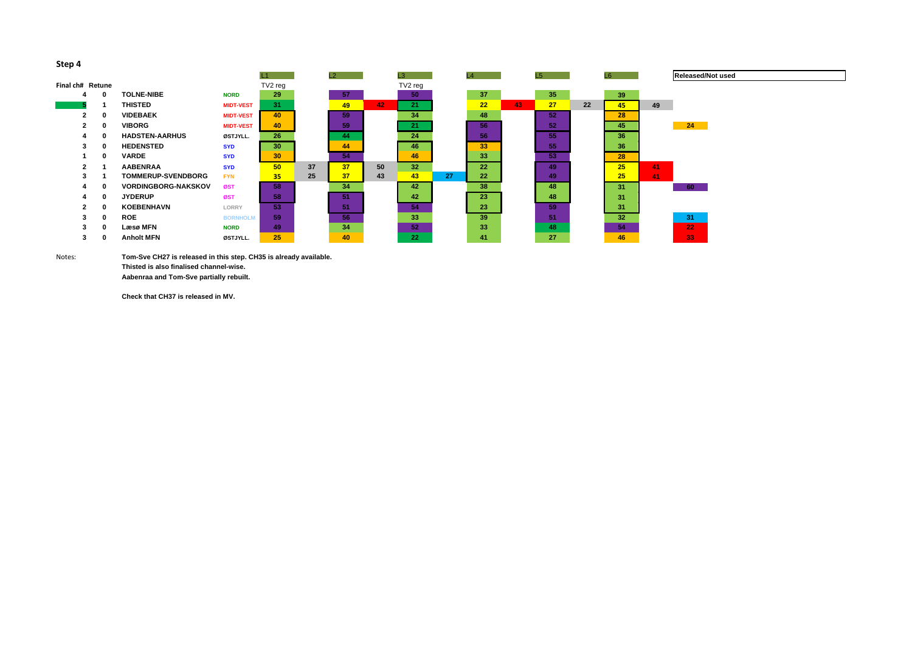|                  |              |                            |                  | L1              |    | L2 |    | L3<br>L4        |    |                 |    | L5 | L6 |    |    | Relea |
|------------------|--------------|----------------------------|------------------|-----------------|----|----|----|-----------------|----|-----------------|----|----|----|----|----|-------|
| Final ch# Retune |              |                            |                  | TV2 reg         |    |    |    | TV2 reg         |    |                 |    |    |    |    |    |       |
| 4                | $\bf{0}$     | <b>TOLNE-NIBE</b>          | <b>NORD</b>      | 29              |    | 57 |    | 50              |    | 37              |    | 35 |    | 39 |    |       |
|                  |              | <b>THISTED</b>             | <b>MIDT-VEST</b> | 31              |    | 49 | 42 | 21              |    | 22              | 43 | 27 | 22 | 45 | 49 |       |
| 2                | $\bf{0}$     | <b>VIDEBAEK</b>            | <b>MIDT-VEST</b> | 40              |    | 59 |    | 34              |    | 48              |    | 52 |    | 28 |    |       |
| $\mathbf{2}$     | $\bf{0}$     | <b>VIBORG</b>              | <b>MIDT-VEST</b> | 40              |    | 59 |    | 21              |    | 56              |    | 52 |    | 45 |    | 24    |
| 4                |              | <b>HADSTEN-AARHUS</b>      | ØSTJYLL.         | 26              |    | 44 |    | 24              |    | 56              |    | 55 |    | 36 |    |       |
| 3                | $\mathbf 0$  | <b>HEDENSTED</b>           | <b>SYD</b>       | 30              |    | 44 |    | 46              |    | 33 <sub>o</sub> |    | 55 |    | 36 |    |       |
|                  | $\mathbf{0}$ | <b>VARDE</b>               | <b>SYD</b>       | 30 <sub>o</sub> |    | 54 |    | 46              |    | 33              |    | 53 |    | 28 |    |       |
| $\mathbf{2}$     |              | <b>AABENRAA</b>            | <b>SYD</b>       | 50              | 37 | 37 | 50 | 32 <sup>1</sup> |    | 22              |    | 49 |    | 25 | 41 |       |
| 3                |              | <b>TOMMERUP-SVENDBORG</b>  | <b>FYN</b>       | 35 <sub>2</sub> | 25 | 37 | 43 | 43              | 27 | 22              |    | 49 |    | 25 | 41 |       |
|                  | $\bf{0}$     | <b>VORDINGBORG-NAKSKOV</b> | ØST              | 58              |    | 34 |    | 42              |    | 38              |    | 48 |    | 31 |    | 60    |
| 4                | $\mathbf{0}$ | <b>JYDERUP</b>             | ØST              | 58              |    | 51 |    | 42              |    | 23              |    | 48 |    | 31 |    |       |
| $\mathbf{2}$     | $\bf{0}$     | <b>KOEBENHAVN</b>          | <b>LORRY</b>     | 53              |    | 51 |    | 54              |    | 23              |    | 59 |    | 31 |    |       |
| 3                | $\bf{0}$     | <b>ROE</b>                 | <b>BORNHOLM</b>  | 59              |    | 56 |    | 33              |    | 39              |    | 51 |    | 32 |    | 31    |
| 3                | 0            | Læsø MFN                   | <b>NORD</b>      | 49              |    | 34 |    | 52              |    | 33              |    | 48 |    | 54 |    | 22    |
| 3                |              | <b>Anholt MFN</b>          | ØSTJYLL.         | 25              |    | 40 |    | 22              |    | 41              |    | 27 |    | 46 |    | 33    |

Notes: **Tom-Sve CH27 is released in this step. CH35 is already available. Thisted is also finalised channel-wise.**

**Aabenraa and Tom-Sve partially rebuilt.**

**Check that CH37 is released in MV.**

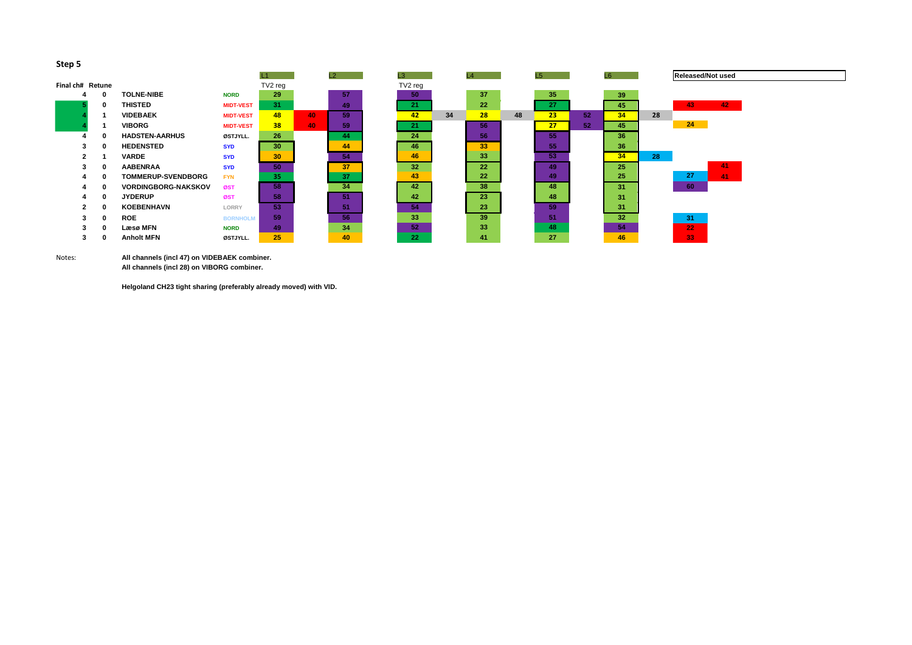Notes: **All channels (incl 47) on VIDEBAEK combiner. All channels (incl 28) on VIBORG combiner.**

|                  |   |                            |                  |         |    | L2 | L3      |    | L4 |    | L <sub>5</sub> |    | L <sub>6</sub> |    |
|------------------|---|----------------------------|------------------|---------|----|----|---------|----|----|----|----------------|----|----------------|----|
| Final ch# Retune |   |                            |                  | TV2 reg |    |    | TV2 reg |    |    |    |                |    |                |    |
| 4                | 0 | <b>TOLNE-NIBE</b>          | <b>NORD</b>      | 29      |    | 57 | 50      |    | 37 |    | 35             |    | 39             |    |
|                  | 0 | <b>THISTED</b>             | <b>MIDT-VEST</b> | 31      |    | 49 | 21      |    | 22 |    | 27             |    | 45             |    |
|                  |   | <b>VIDEBAEK</b>            | <b>MIDT-VEST</b> | 48      | 40 | 59 | 42      | 34 | 28 | 48 | 23             | 52 | 34             | 28 |
|                  |   | <b>VIBORG</b>              | <b>MIDT-VEST</b> | 38      | 40 | 59 | 21      |    | 56 |    | 27             | 52 | 45             |    |
| 4                | 0 | <b>HADSTEN-AARHUS</b>      | ØSTJYLL.         | 26      |    | 44 | 24      |    | 56 |    | 55             |    | 36             |    |
| 3                | 0 | <b>HEDENSTED</b>           | <b>SYD</b>       | 30      |    | 44 | 46      |    | 33 |    | 55             |    | 36             |    |
| $\mathbf{2}$     |   | <b>VARDE</b>               | <b>SYD</b>       | 30      |    | 54 | 46      |    | 33 |    | 53             |    | 34             | 28 |
| 3                | 0 | <b>AABENRAA</b>            | <b>SYD</b>       | 50      |    | 37 | 32      |    | 22 |    | 49             |    | 25             |    |
| 4                | 0 | <b>TOMMERUP-SVENDBORG</b>  | <b>FYN</b>       | 35      |    | 37 | 43      |    | 22 |    | 49             |    | 25             |    |
| 4                | 0 | <b>VORDINGBORG-NAKSKOV</b> | ØST              | 58      |    | 34 | 42      |    | 38 |    | 48             |    | 31             |    |
| 4                | 0 | <b>JYDERUP</b>             | ØST              | 58      |    | 51 | 42      |    | 23 |    | 48             |    | 31             |    |
| $\mathbf{2}$     | 0 | <b>KOEBENHAVN</b>          | <b>LORRY</b>     | 53      |    | 51 | 54      |    | 23 |    | 59             |    | 31             |    |
| 3                | 0 | <b>ROE</b>                 | <b>BORNHOLM</b>  | 59      |    | 56 | 33      |    | 39 |    | 51             |    | 32             |    |
| 3                | 0 | Læsø MFN                   | <b>NORD</b>      | 49      |    | 34 | 52      |    | 33 |    | 48             |    | 54             |    |
| 3                | 0 | <b>Anholt MFN</b>          | ØSTJYLL.         | 25      |    | 40 | 22      |    | 41 |    | 27             |    | 46             |    |

**Helgoland CH23 tight sharing (preferably already moved) with VID.**

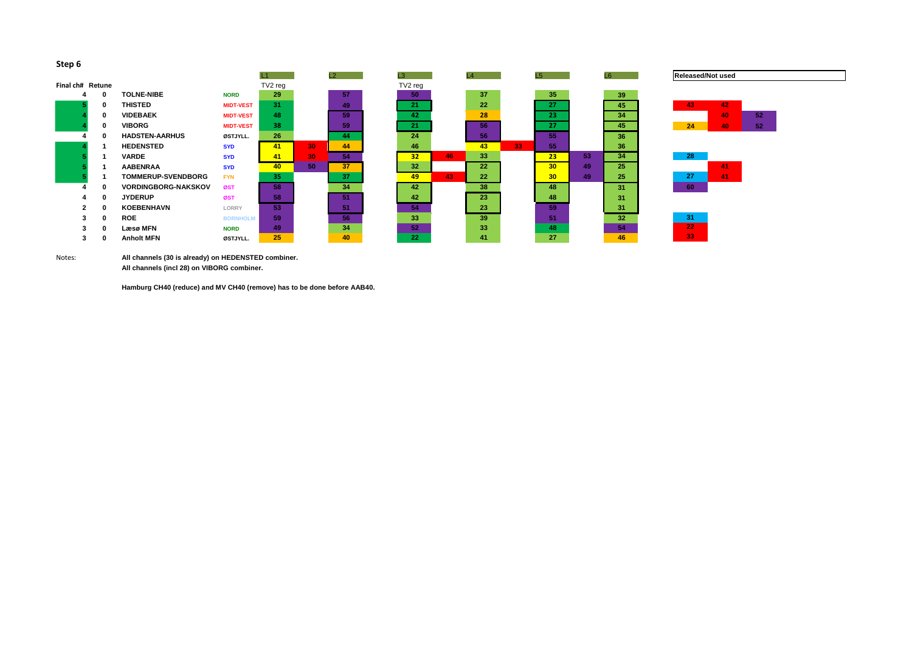|                  |              |                            |                  | L1      |    | L2 | L3              |
|------------------|--------------|----------------------------|------------------|---------|----|----|-----------------|
| Final ch# Retune |              |                            |                  | TV2 reg |    |    | TV2 reg         |
| 4                | $\bf{0}$     | <b>TOLNE-NIBE</b>          | <b>NORD</b>      | 29      |    | 57 | 50              |
| 5                | 0            | <b>THISTED</b>             | <b>MIDT-VEST</b> | 31      |    | 49 | 21              |
| 4                | $\bf{0}$     | <b>VIDEBAEK</b>            | <b>MIDT-VEST</b> | 48      |    | 59 | 42              |
| 4                | $\bf{0}$     | <b>VIBORG</b>              | <b>MIDT-VEST</b> | 38      |    | 59 | 21              |
| 4                | $\bf{0}$     | <b>HADSTEN-AARHUS</b>      | ØSTJYLL.         | 26      |    | 44 | 24              |
| 4                | 1            | <b>HEDENSTED</b>           | <b>SYD</b>       | 41      | 30 | 44 | 46              |
| 5                | 1            | <b>VARDE</b>               | <b>SYD</b>       | 41      | 30 | 54 | 32 <sub>2</sub> |
| 5                |              | <b>AABENRAA</b>            | <b>SYD</b>       | 40      | 50 | 37 | 32 <sub>2</sub> |
| 5                | 1            | <b>TOMMERUP-SVENDBORG</b>  | <b>FYN</b>       | 35      |    | 37 | 49              |
| 4                | $\bf{0}$     | <b>VORDINGBORG-NAKSKOV</b> | ØST              | 58      |    | 34 | 42              |
| 4                | $\mathbf{0}$ | <b>JYDERUP</b>             | ØST              | 58      |    | 51 | 42              |
| $\mathbf{2}$     | $\bf{0}$     | <b>KOEBENHAVN</b>          | <b>LORRY</b>     | 53      |    | 51 | 54              |
| 3                | $\bf{0}$     | <b>ROE</b>                 | <b>BORNHOLM</b>  | 59      |    | 56 | 33              |
| 3                | $\bf{0}$     | Læsø MFN                   | <b>NORD</b>      | 49      |    | 34 | 52              |
| 3                | 0            | <b>Anholt MFN</b>          | ØSTJYLL.         | 25      |    | 40 | 22              |

Notes: **All channels (30 is already) on HEDENSTED combiner. All channels (incl 28) on VIBORG combiner.**



**Hamburg CH40 (reduce) and MV CH40 (remove) has to be done before AAB40.**





## **Released/Not used**

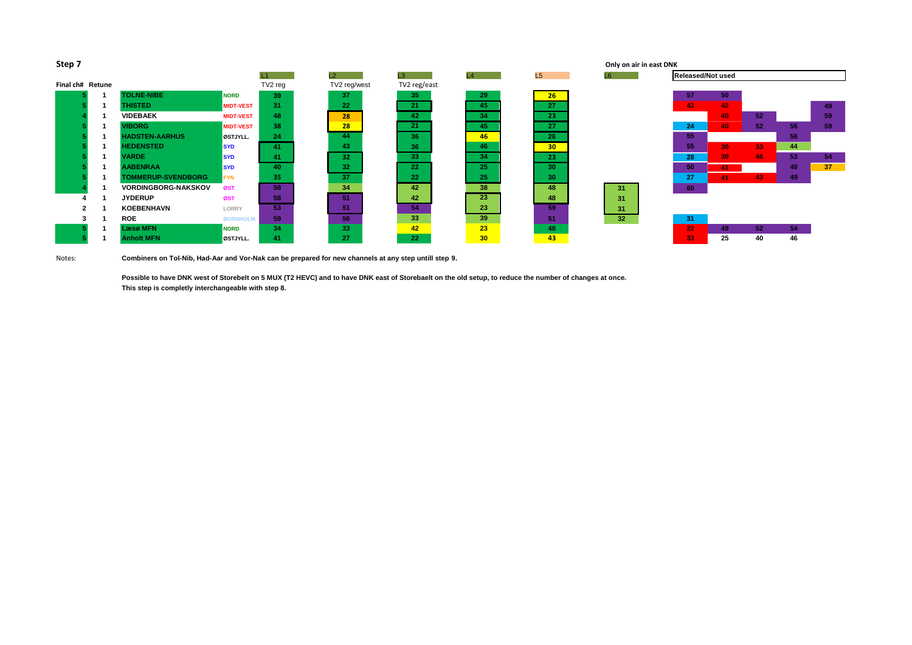Notes: **Combiners on Tol-Nib, Had-Aar and Vor-Nak can be prepared for new channels at any step untill step 9.**

| Only on air in east DNK |                 |                 |              |              |         |                  |                            | Step 7           |
|-------------------------|-----------------|-----------------|--------------|--------------|---------|------------------|----------------------------|------------------|
| L6                      | L5              | L4              | L3           | L2           | L1      |                  |                            |                  |
|                         |                 |                 | TV2 reg/east | TV2 reg/west | TV2 reg |                  |                            | Final ch# Retune |
|                         | 26              | 29              | 35           | 37           | 39      | <b>NORD</b>      | <b>TOLNE-NIBE</b>          |                  |
|                         | 27              | 45              | 21           | 22           | 31      | <b>MIDT-VEST</b> | <b>THISTED</b>             |                  |
|                         | 23              | 34              | 42           | 28           | 48      | <b>MIDT-VEST</b> | <b>VIDEBAEK</b>            |                  |
|                         | 27              | 45              | 21           | 28           | 38      | <b>MIDT-VEST</b> | <b>VIBORG</b>              |                  |
|                         | 26              | 46              | 36           | 44           | 24      | ØSTJYLL.         | <b>HADSTEN-AARHUS</b>      |                  |
|                         | 30 <sub>2</sub> | 46              | 36           | 43           | 41      | <b>SYD</b>       | <b>HEDENSTED</b>           |                  |
|                         | 23              | 34              | 33           | 32           | 41      | <b>SYD</b>       | <b>VARDE</b>               |                  |
|                         | 30              | 25              | 22           | 32           | 40      | <b>SYD</b>       | <b>AABENRAA</b>            |                  |
|                         | 30              | 25              | 22           | 37           | 35      | <b>FYN</b>       | <b>TOMMERUP-SVENDBORG</b>  |                  |
| 31                      | 48              | 38              | 42           | 34           | 58      | ØST              | <b>VORDINGBORG-NAKSKOV</b> |                  |
| 31                      | 48              | 23              | 42           | 51           | 58      | ØST              | <b>JYDERUP</b>             |                  |
| 31                      | 59              | 23              | 54           | 51           | 53      | <b>LORRY</b>     | <b>KOEBENHAVN</b>          | 2                |
| 32                      | 51              | 39              | 33           | 56           | 59      | <b>BORNHOLM</b>  | <b>ROE</b>                 | 3                |
|                         | 48              | 23              | 42           | 33           | 34      | <b>NORD</b>      | <b>Læsø MFN</b>            |                  |
|                         | 43              | 30 <sub>o</sub> | 22           | 27           | 41      | ØSTJYLL.         | <b>Anholt MFN</b>          |                  |
|                         |                 |                 |              |              |         |                  |                            |                  |

**Possible to have DNK west of Storebelt on 5 MUX (T2 HEVC) and to have DNK east of Storebaelt on the old setup, to reduce the number of changes at once. This step is completly interchangeable with step 8.**

| Only on air in east DNK |                   |    |    |    |    |  |  |  |  |  |
|-------------------------|-------------------|----|----|----|----|--|--|--|--|--|
| L <sub>6</sub>          | Released/Not used |    |    |    |    |  |  |  |  |  |
|                         |                   |    |    |    |    |  |  |  |  |  |
|                         | 57                | 50 |    |    |    |  |  |  |  |  |
|                         | 43                | 42 |    |    | 49 |  |  |  |  |  |
|                         |                   | 40 | 52 |    | 59 |  |  |  |  |  |
|                         | 24                | 40 | 52 | 56 | 59 |  |  |  |  |  |
|                         | 55                |    |    | 56 |    |  |  |  |  |  |
|                         | 55                | 30 | 33 | 44 |    |  |  |  |  |  |
|                         | 28                | 30 | 46 | 53 | 54 |  |  |  |  |  |
|                         | 50                | 41 |    | 49 | 37 |  |  |  |  |  |
|                         | 27                | 41 | 43 | 49 |    |  |  |  |  |  |
| 31                      | 60                |    |    |    |    |  |  |  |  |  |
| 31                      |                   |    |    |    |    |  |  |  |  |  |
| 31                      |                   |    |    |    |    |  |  |  |  |  |
| 32                      | 31                |    |    |    |    |  |  |  |  |  |
|                         | 22                | 49 | 52 | 54 |    |  |  |  |  |  |
|                         | 33                | 25 | 40 | 46 |    |  |  |  |  |  |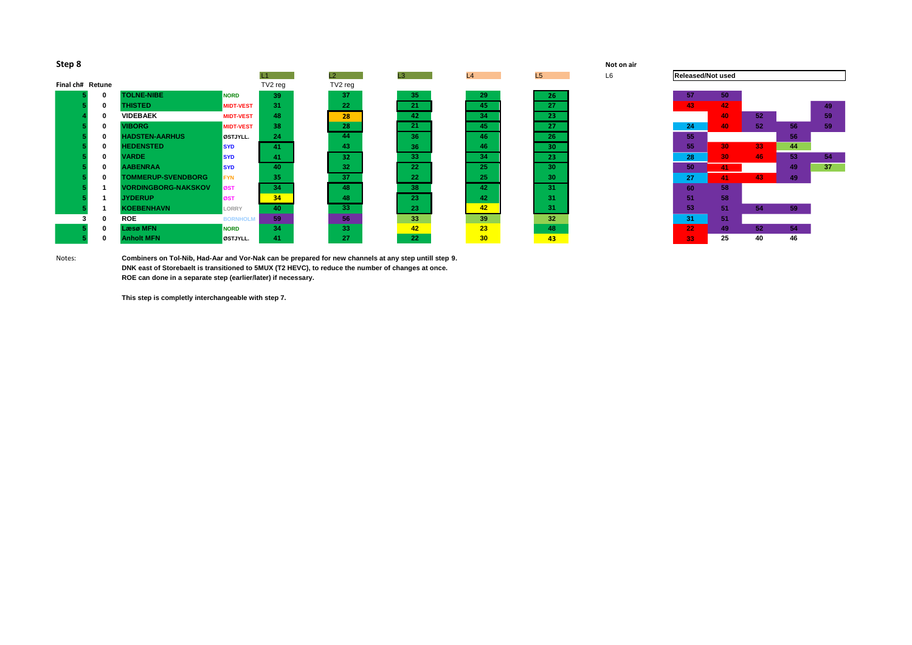

| Step 8 | Not on air |
|--------|------------|
|--------|------------|

|                  |             |                            |                  |         | $\mathsf{L2}$   | L3 | L4              | L5              | L6 | <b>Released/Not used</b> |                 |                 |     |
|------------------|-------------|----------------------------|------------------|---------|-----------------|----|-----------------|-----------------|----|--------------------------|-----------------|-----------------|-----|
| Final ch# Retune |             |                            |                  | TV2 reg | TV2 reg         |    |                 |                 |    |                          |                 |                 |     |
|                  | $\mathbf 0$ | <b>TOLNE-NIBE</b>          | <b>NORD</b>      | 39      | 37              | 35 | 29              | 26 <sup>2</sup> |    | 57                       | 50              |                 |     |
|                  | 0           | <b>THISTED</b>             | <b>MIDT-VEST</b> | 31      | 22              | 21 | 45              | 27              |    | 43                       | 42              |                 |     |
|                  |             | <b>VIDEBAEK</b>            | <b>MIDT-VEST</b> | 48      | 28              | 42 | 34              | 23              |    |                          | 40              | 52 <sub>2</sub> |     |
|                  | 0           | <b>VIBORG</b>              | <b>MIDT-VEST</b> | 38      | 28              | 21 | 45              | 27              |    | 24                       | 40              | 52 <sub>2</sub> | 56  |
|                  | 0           | <b>HADSTEN-AARHUS</b>      | ØSTJYLL.         | 24      | 44              | 36 | 46              | 26 <sub>1</sub> |    | 55                       |                 |                 | 56  |
|                  | 0           | <b>HEDENSTED</b>           | <b>SYD</b>       | 41      | 43              | 36 | 46              | 30 <sub>1</sub> |    | 55                       | 30 <sub>1</sub> | 33              | 44  |
|                  | 0           | <b>VARDE</b>               | <b>SYD</b>       | 41      | 32              | 33 | 34              | 23 <sup>°</sup> |    | 28                       | 30              | 46              | 53  |
|                  | 0           | <b>AABENRAA</b>            | <b>ISYD</b>      | 40      | 32              | 22 | 25              | 30 <sub>1</sub> |    | 50                       | 41              |                 | 49  |
|                  | 0           | <b>TOMMERUP-SVENDBORG</b>  | <b>FYN</b>       | 35      | 37              | 22 | 25              | 30              |    | 27                       | 41              | 43              | -49 |
|                  |             | <b>VORDINGBORG-NAKSKOV</b> | <b>ØST</b>       | 34      | 48              | 38 | 42              | 31              |    | 60                       | 58              |                 |     |
|                  |             | <b>JYDERUP</b>             | ØST              | 34      | 48              | 23 | 42              | 31              |    | 51                       | 58              |                 |     |
|                  |             | <b>KOEBENHAVN</b>          | LORRY            | 40      | 33 <sup>°</sup> | 23 | 42              | 31              |    | 53 <sup>°</sup>          | 51              | 54              | 59  |
|                  | 0           | <b>ROE</b>                 | <b>BORNHOLM</b>  | 59      | 56              | 33 | 39              | 32 <sub>2</sub> |    | 31                       | 51              |                 |     |
|                  | 0           | <b>Læsø MFN</b>            | <b>NORD</b>      | 34      | 33              | 42 | 23              | 48              |    | 22 <sub>2</sub>          | 49              | 52 <sub>2</sub> | 54  |
|                  | U           | <b>Anholt MFN</b>          | ØSTJYLL.         | 41      | 27              | 22 | 30 <sup>1</sup> | 43              |    | 33                       | 25              | 40              | 46  |

Notes: **Combiners on Tol-Nib, Had-Aar and Vor-Nak can be prepared for new channels at any step untill step 9. DNK east of Storebaelt is transitioned to 5MUX (T2 HEVC), to reduce the number of changes at once. ROE can done in a separate step (earlier/later) if necessary.**

**This step is completly interchangeable with step 7.**

# **Released/Not used**